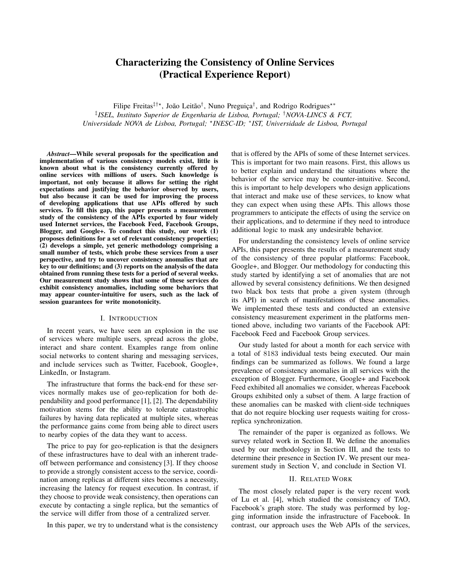# Characterizing the Consistency of Online Services (Practical Experience Report)

Filipe Freitas<sup>‡†\*</sup>, João Leitão<sup>†</sup>, Nuno Preguiça<sup>†</sup>, and Rodrigo Rodrigues<sup>\*\*</sup> ‡ *ISEL, Instituto Superior de Engenharia de Lisboa, Portugal;* †*NOVA-LINCS & FCT, Universidade NOVA de Lisboa, Portugal;* ? *INESC-ID;* <sup>∗</sup> *IST, Universidade de Lisboa, Portugal*

*Abstract*—While several proposals for the specification and implementation of various consistency models exist, little is known about what is the consistency currently offered by online services with millions of users. Such knowledge is important, not only because it allows for setting the right expectations and justifying the behavior observed by users, but also because it can be used for improving the process of developing applications that use APIs offered by such services. To fill this gap, this paper presents a measurement study of the consistency of the APIs exported by four widely used Internet services, the Facebook Feed, Facebook Groups, Blogger, and Google+. To conduct this study, our work  $(1)$ proposes definitions for a set of relevant consistency properties; (2) develops a simple, yet generic methodology comprising a small number of tests, which probe these services from a user perspective, and try to uncover consistency anomalies that are key to our definitions; and (3) reports on the analysis of the data obtained from running these tests for a period of several weeks. Our measurement study shows that some of these services do exhibit consistency anomalies, including some behaviors that may appear counter-intuitive for users, such as the lack of session guarantees for write monotonicity.

### I. INTRODUCTION

In recent years, we have seen an explosion in the use of services where multiple users, spread across the globe, interact and share content. Examples range from online social networks to content sharing and messaging services, and include services such as Twitter, Facebook, Google+, LinkedIn, or Instagram.

The infrastructure that forms the back-end for these services normally makes use of geo-replication for both dependability and good performance [1], [2]. The dependability motivation stems for the ability to tolerate catastrophic failures by having data replicated at multiple sites, whereas the performance gains come from being able to direct users to nearby copies of the data they want to access.

The price to pay for geo-replication is that the designers of these infrastructures have to deal with an inherent tradeoff between performance and consistency [3]. If they choose to provide a strongly consistent access to the service, coordination among replicas at different sites becomes a necessity, increasing the latency for request execution. In contrast, if they choose to provide weak consistency, then operations can execute by contacting a single replica, but the semantics of the service will differ from those of a centralized server.

In this paper, we try to understand what is the consistency

that is offered by the APIs of some of these Internet services. This is important for two main reasons. First, this allows us to better explain and understand the situations where the behavior of the service may be counter-intuitive. Second, this is important to help developers who design applications that interact and make use of these services, to know what they can expect when using these APIs. This allows those programmers to anticipate the effects of using the service on their applications, and to determine if they need to introduce additional logic to mask any undesirable behavior.

For understanding the consistency levels of online service APIs, this paper presents the results of a measurement study of the consistency of three popular platforms: Facebook, Google+, and Blogger. Our methodology for conducting this study started by identifying a set of anomalies that are not allowed by several consistency definitions. We then designed two black box tests that probe a given system (through its API) in search of manifestations of these anomalies. We implemented these tests and conducted an extensive consistency measurement experiment in the platforms mentioned above, including two variants of the Facebook API: Facebook Feed and Facebook Group services.

Our study lasted for about a month for each service with a total of 8183 individual tests being executed. Our main findings can be summarized as follows. We found a large prevalence of consistency anomalies in all services with the exception of Blogger. Furthermore, Google+ and Facebook Feed exhibited all anomalies we consider, whereas Facebook Groups exhibited only a subset of them. A large fraction of these anomalies can be masked with client-side techniques that do not require blocking user requests waiting for crossreplica synchronization.

The remainder of the paper is organized as follows. We survey related work in Section II. We define the anomalies used by our methodology in Section III, and the tests to determine their presence in Section IV. We present our measurement study in Section V, and conclude in Section VI.

## II. RELATED WORK

The most closely related paper is the very recent work of Lu et al. [4], which studied the consistency of TAO, Facebook's graph store. The study was performed by logging information inside the infrastructure of Facebook. In contrast, our approach uses the Web APIs of the services,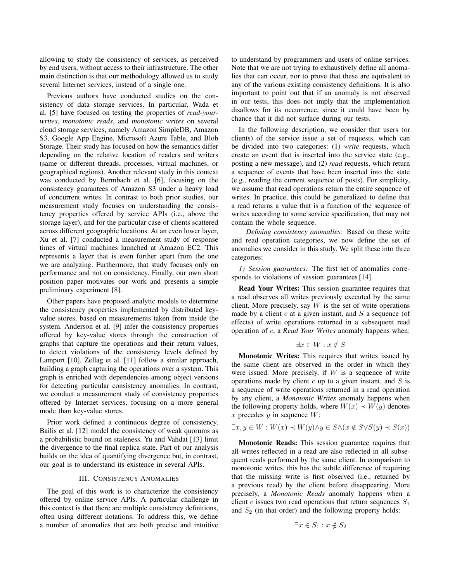allowing to study the consistency of services, as perceived by end users, without access to their infrastructure. The other main distinction is that our methodology allowed us to study several Internet services, instead of a single one.

Previous authors have conducted studies on the consistency of data storage services. In particular, Wada et al. [5] have focused on testing the properties of *read-yourwrites*, *monotonic reads*, and *monotonic writes* on several cloud storage services, namely Amazon SimpleDB, Amazon S3, Google App Engine, Microsoft Azure Table, and Blob Storage. Their study has focused on how the semantics differ depending on the relative location of readers and writers (same or different threads, processes, virtual machines, or geographical regions). Another relevant study in this context was conducted by Bermbach et al. [6], focusing on the consistency guarantees of Amazon S3 under a heavy load of concurrent writes. In contrast to both prior studies, our measurement study focuses on understanding the consistency properties offered by service APIs (i.e., above the storage layer), and for the particular case of clients scattered across different geographic locations. At an even lower layer, Xu et al. [7] conducted a measurement study of response times of virtual machines launched at Amazon EC2. This represents a layer that is even further apart from the one we are analyzing. Furthermore, that study focuses only on performance and not on consistency. Finally, our own short position paper motivates our work and presents a simple preliminary experiment [8].

Other papers have proposed analytic models to determine the consistency properties implemented by distributed keyvalue stores, based on measurements taken from inside the system. Anderson et al. [9] infer the consistency properties offered by key-value stores through the construction of graphs that capture the operations and their return values, to detect violations of the consistency levels defined by Lamport [10]. Zellag et al. [11] follow a similar approach, building a graph capturing the operations over a system. This graph is enriched with dependencies among object versions for detecting particular consistency anomalies. In contrast, we conduct a measurement study of consistency properties offered by Internet services, focusing on a more general mode than key-value stores.

Prior work defined a continuous degree of consistency. Bailis et al. [12] model the consistency of weak quorums as a probabilistic bound on staleness. Yu and Vahdat [13] limit the divergence to the final replica state. Part of our analysis builds on the idea of quantifying divergence but, in contrast, our goal is to understand its existence in several APIs.

## III. CONSISTENCY ANOMALIES

The goal of this work is to characterize the consistency offered by online service APIs. A particular challenge in this context is that there are multiple consistency definitions, often using different notations. To address this, we define a number of anomalies that are both precise and intuitive to understand by programmers and users of online services. Note that we are not trying to exhaustively define all anomalies that can occur, nor to prove that these are equivalent to any of the various existing consistency definitions. It is also important to point out that if an anomaly is not observed in our tests, this does not imply that the implementation disallows for its occurrence, since it could have been by chance that it did not surface during our tests.

In the following description, we consider that users (or clients) of the service issue a set of requests, which can be divided into two categories: (1) *write* requests, which create an event that is inserted into the service state (e.g., posting a new message), and (2) *read* requests, which return a sequence of events that have been inserted into the state (e.g., reading the current sequence of posts). For simplicity, we assume that read operations return the entire sequence of writes. In practice, this could be generalized to define that a read returns a value that is a function of the sequence of writes according to some service specification, that may not contain the whole sequence.

*Defining consistency anomalies:* Based on these write and read operation categories, we now define the set of anomalies we consider in this study. We split these into three categories:

*1) Session guarantees:* The first set of anomalies corresponds to violations of session guarantees [14].

Read Your Writes: This session guarantee requires that a read observes all writes previously executed by the same client. More precisely, say  $W$  is the set of write operations made by a client  $c$  at a given instant, and  $S$  a sequence (of effects) of write operations returned in a subsequent read operation of c, a *Read Your Writes* anomaly happens when:

$$
\exists x \in W : x \notin S
$$

Monotonic Writes: This requires that writes issued by the same client are observed in the order in which they were issued. More precisely, if  $W$  is a sequence of write operations made by client  $c$  up to a given instant, and  $S$  is a sequence of write operations returned in a read operation by any client, a *Monotonic Writes* anomaly happens when the following property holds, where  $W(x) \prec W(y)$  denotes x precedes  $y$  in sequence  $W$ :

$$
\exists x, y \in W : W(x) \prec W(y) \land y \in S \land (x \notin S \lor S(y) \prec S(x))
$$

Monotonic Reads: This session guarantee requires that all writes reflected in a read are also reflected in all subsequent reads performed by the same client. In comparison to monotonic writes, this has the subtle difference of requiring that the missing write is first observed (i.e., returned by a previous read) by the client before disappearing. More precisely, a *Monotonic Reads* anomaly happens when a client c issues two read operations that return sequences  $S_1$ and  $S_2$  (in that order) and the following property holds:

$$
\exists x \in S_1 : x \notin S_2
$$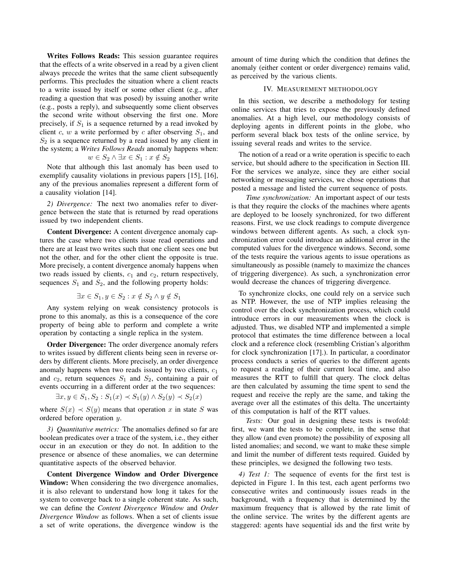Writes Follows Reads: This session guarantee requires that the effects of a write observed in a read by a given client always precede the writes that the same client subsequently performs. This precludes the situation where a client reacts to a write issued by itself or some other client (e.g., after reading a question that was posed) by issuing another write (e.g., posts a reply), and subsequently some client observes the second write without observing the first one. More precisely, if  $S_1$  is a sequence returned by a read invoked by client c, w a write performed by c after observing  $S_1$ , and  $S_2$  is a sequence returned by a read issued by any client in the system; a *Writes Follows Reads* anomaly happens when:

$$
w \in S_2 \land \exists x \in S_1 : x \notin S_2
$$

Note that although this last anomaly has been used to exemplify causality violations in previous papers [15], [16], any of the previous anomalies represent a different form of a causality violation [14].

*2) Divergence:* The next two anomalies refer to divergence between the state that is returned by read operations issued by two independent clients.

Content Divergence: A content divergence anomaly captures the case where two clients issue read operations and there are at least two writes such that one client sees one but not the other, and for the other client the opposite is true. More precisely, a content divergence anomaly happens when two reads issued by clients,  $c_1$  and  $c_2$ , return respectively, sequences  $S_1$  and  $S_2$ , and the following property holds:

$$
\exists x \in S_1, y \in S_2 : x \notin S_2 \land y \notin S_1
$$

Any system relying on weak consistency protocols is prone to this anomaly, as this is a consequence of the core property of being able to perform and complete a write operation by contacting a single replica in the system.

Order Divergence: The order divergence anomaly refers to writes issued by different clients being seen in reverse orders by different clients. More precisely, an order divergence anomaly happens when two reads issued by two clients,  $c_1$ and  $c_2$ , return sequences  $S_1$  and  $S_2$ , containing a pair of events occurring in a different order at the two sequences:

$$
\exists x, y \in S_1, S_2 : S_1(x) \prec S_1(y) \land S_2(y) \prec S_2(x)
$$

where  $S(x) \prec S(y)$  means that operation x in state S was ordered before operation y.

*3) Quantitative metrics:* The anomalies defined so far are boolean predicates over a trace of the system, i.e., they either occur in an execution or they do not. In addition to the presence or absence of these anomalies, we can determine quantitative aspects of the observed behavior.

Content Divergence Window and Order Divergence Window: When considering the two divergence anomalies, it is also relevant to understand how long it takes for the system to converge back to a single coherent state. As such, we can define the *Content Divergence Window* and *Order Divergence Window* as follows. When a set of clients issue a set of write operations, the divergence window is the amount of time during which the condition that defines the anomaly (either content or order divergence) remains valid, as perceived by the various clients.

# IV. MEASUREMENT METHODOLOGY

In this section, we describe a methodology for testing online services that tries to expose the previously defined anomalies. At a high level, our methodology consists of deploying agents in different points in the globe, who perform several black box tests of the online service, by issuing several reads and writes to the service.

The notion of a read or a write operation is specific to each service, but should adhere to the specification in Section III. For the services we analyze, since they are either social networking or messaging services, we chose operations that posted a message and listed the current sequence of posts.

*Time synchronization:* An important aspect of our tests is that they require the clocks of the machines where agents are deployed to be loosely synchronized, for two different reasons. First, we use clock readings to compute divergence windows between different agents. As such, a clock synchronization error could introduce an additional error in the computed values for the divergence windows. Second, some of the tests require the various agents to issue operations as simultaneously as possible (namely to maximize the chances of triggering divergence). As such, a synchronization error would decrease the chances of triggering divergence.

To synchronize clocks, one could rely on a service such as NTP. However, the use of NTP implies releasing the control over the clock synchronization process, which could introduce errors in our measurements when the clock is adjusted. Thus, we disabled NTP and implemented a simple protocol that estimates the time difference between a local clock and a reference clock (resembling Cristian's algorithm for clock synchronization [17].). In particular, a coordinator process conducts a series of queries to the different agents to request a reading of their current local time, and also measures the RTT to fulfill that query. The clock deltas are then calculated by assuming the time spent to send the request and receive the reply are the same, and taking the average over all the estimates of this delta. The uncertainty of this computation is half of the RTT values.

*Tests:* Our goal in designing these tests is twofold: first, we want the tests to be complete, in the sense that they allow (and even promote) the possibility of exposing all listed anomalies; and second, we want to make these simple and limit the number of different tests required. Guided by these principles, we designed the following two tests.

*4) Test 1:* The sequence of events for the first test is depicted in Figure 1. In this test, each agent performs two consecutive writes and continuously issues reads in the background, with a frequency that is determined by the maximum frequency that is allowed by the rate limit of the online service. The writes by the different agents are staggered: agents have sequential ids and the first write by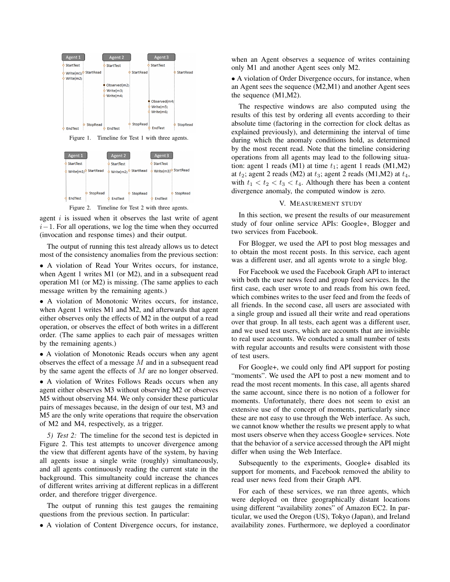

Figure 1. Timeline for Test 1 with three agents.



Figure 2. Timeline for Test 2 with three agents.

agent  $i$  is issued when it observes the last write of agent  $i-1$ . For all operations, we log the time when they occurred (invocation and response times) and their output.

The output of running this test already allows us to detect most of the consistency anomalies from the previous section:

• A violation of Read Your Writes occurs, for instance, when Agent 1 writes M1 (or M2), and in a subsequent read operation M1 (or M2) is missing. (The same applies to each message written by the remaining agents.)

• A violation of Monotonic Writes occurs, for instance, when Agent 1 writes M1 and M2, and afterwards that agent either observes only the effects of M2 in the output of a read operation, or observes the effect of both writes in a different order. (The same applies to each pair of messages written by the remaining agents.)

• A violation of Monotonic Reads occurs when any agent observes the effect of a message M and in a subsequent read by the same agent the effects of M are no longer observed.

• A violation of Writes Follows Reads occurs when any agent either observes M3 without observing M2 or observes M5 without observing M4. We only consider these particular pairs of messages because, in the design of our test, M3 and M5 are the only write operations that require the observation of M2 and M4, respectively, as a trigger.

*5) Test 2:* The timeline for the second test is depicted in Figure 2. This test attempts to uncover divergence among the view that different agents have of the system, by having all agents issue a single write (roughly) simultaneously, and all agents continuously reading the current state in the background. This simultaneity could increase the chances of different writes arriving at different replicas in a different order, and therefore trigger divergence.

The output of running this test gauges the remaining questions from the previous section. In particular:

• A violation of Content Divergence occurs, for instance,

when an Agent observes a sequence of writes containing only M1 and another Agent sees only M2.

• A violation of Order Divergence occurs, for instance, when an Agent sees the sequence (M2,M1) and another Agent sees the sequence (M1,M2).

The respective windows are also computed using the results of this test by ordering all events according to their absolute time (factoring in the correction for clock deltas as explained previously), and determining the interval of time during which the anomaly conditions hold, as determined by the most recent read. Note that the timeline considering operations from all agents may lead to the following situation: agent 1 reads (M1) at time  $t_1$ ; agent 1 reads (M1,M2) at  $t_2$ ; agent 2 reads (M2) at  $t_3$ ; agent 2 reads (M1,M2) at  $t_4$ , with  $t_1 < t_2 < t_3 < t_4$ . Although there has been a content divergence anomaly, the computed window is zero.

#### V. MEASUREMENT STUDY

In this section, we present the results of our measurement study of four online service APIs: Google+, Blogger and two services from Facebook.

For Blogger, we used the API to post blog messages and to obtain the most recent posts. In this service, each agent was a different user, and all agents wrote to a single blog.

For Facebook we used the Facebook Graph API to interact with both the user news feed and group feed services. In the first case, each user wrote to and reads from his own feed, which combines writes to the user feed and from the feeds of all friends. In the second case, all users are associated with a single group and issued all their write and read operations over that group. In all tests, each agent was a different user, and we used test users, which are accounts that are invisible to real user accounts. We conducted a small number of tests with regular accounts and results were consistent with those of test users.

For Google+, we could only find API support for posting "moments". We used the API to post a new moment and to read the most recent moments. In this case, all agents shared the same account, since there is no notion of a follower for moments. Unfortunately, there does not seem to exist an extensive use of the concept of moments, particularly since these are not easy to use through the Web interface. As such, we cannot know whether the results we present apply to what most users observe when they access Google+ services. Note that the behavior of a service accessed through the API might differ when using the Web Interface.

Subsequently to the experiments, Google+ disabled its support for moments, and Facebook removed the ability to read user news feed from their Graph API.

For each of these services, we ran three agents, which were deployed on three geographically distant locations using different "availability zones" of Amazon EC2. In particular, we used the Oregon (US), Tokyo (Japan), and Ireland availability zones. Furthermore, we deployed a coordinator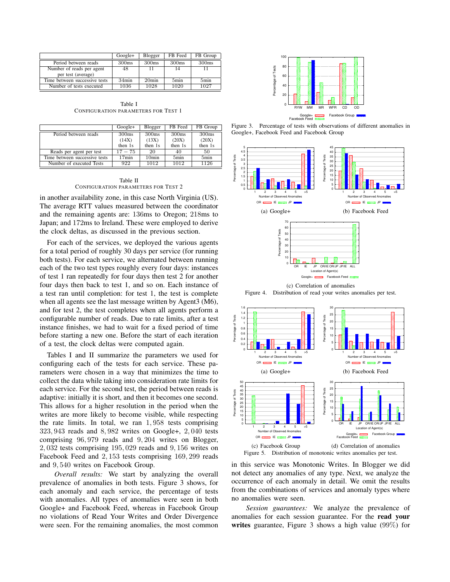|                               | $Google+$         | Blogger           | FB Feed | FB Group |
|-------------------------------|-------------------|-------------------|---------|----------|
| Period between reads          | 300 <sub>ms</sub> | 300 <sub>ms</sub> | 300ms   | 300ms    |
| Number of reads per agent     | 48                | 11                | 14      |          |
| per test (average)            |                   |                   |         |          |
| Time between successive tests | $34$ min          | 20 <sub>min</sub> | 5min    | 5min     |
| Number of tests executed      | 1036              | 1028              | 1020    | 1027     |

Table I CONFIGURATION PARAMETERS FOR TEST 1

|                               | $Google+$         | Blogger           | FB Feed           | FB Group          |
|-------------------------------|-------------------|-------------------|-------------------|-------------------|
| Period between reads          | 300 <sub>ms</sub> | 300ms             | 300 <sub>ms</sub> | 300 <sub>ms</sub> |
|                               | (14X)<br>then 1s  | (13X)<br>then 1s  | (20X)<br>then 1s  | (20X)<br>then 1s  |
| Reads per agent per test      | $17 - 75$         | 20                | 40                | 50                |
| Time between successive tests | $17$ min          | 10 <sub>min</sub> | 5 <sub>min</sub>  | 5min              |
| Number of executed Tests      | 922               | 1012              | 1012              | 1126              |

Table II CONFIGURATION PARAMETERS FOR TEST 2

in another availability zone, in this case North Virginia (US). The average RTT values measured between the coordinator and the remaining agents are: 136ms to Oregon; 218ms to Japan; and 172ms to Ireland. These were employed to derive the clock deltas, as discussed in the previous section.

For each of the services, we deployed the various agents for a total period of roughly 30 days per service (for running both tests). For each service, we alternated between running each of the two test types roughly every four days: instances of test 1 ran repeatedly for four days then test 2 for another four days then back to test 1, and so on. Each instance of a test ran until completion: for test 1, the test is complete when all agents see the last message written by Agent3 (M6), and for test 2, the test completes when all agents perform a configurable number of reads. Due to rate limits, after a test instance finishes, we had to wait for a fixed period of time before starting a new one. Before the start of each iteration of a test, the clock deltas were computed again.

Tables I and II summarize the parameters we used for configuring each of the tests for each service. These parameters were chosen in a way that minimizes the time to collect the data while taking into consideration rate limits for each service. For the second test, the period between reads is adaptive: initially it is short, and then it becomes one second. This allows for a higher resolution in the period when the writes are more likely to become visible, while respecting the rate limits. In total, we ran 1, 958 tests comprising 323, 943 reads and 8, 982 writes on Google+, 2, 040 tests comprising 96, 979 reads and 9, 204 writes on Blogger, 2, 032 tests comprising 195, 029 reads and 9, 156 writes on Facebook Feed and 2, 153 tests comprising 169, 299 reads and 9, 540 writes on Facebook Group.

*Overall results:* We start by analyzing the overall prevalence of anomalies in both tests. Figure 3 shows, for each anomaly and each service, the percentage of tests with anomalies. All types of anomalies were seen in both Google+ and Facebook Feed, whereas in Facebook Group no violations of Read Your Writes and Order Divergence were seen. For the remaining anomalies, the most common



Figure 3. Percentage of tests with observations of different anomalies in Google+, Facebook Feed and Facebook Group





in this service was Monotonic Writes. In Blogger we did not detect any anomalies of any type. Next, we analyze the occurrence of each anomaly in detail. We omit the results from the combinations of services and anomaly types where no anomalies were seen.

*Session guarantees:* We analyze the prevalence of anomalies for each session guarantee. For the read your writes guarantee, Figure 3 shows a high value (99%) for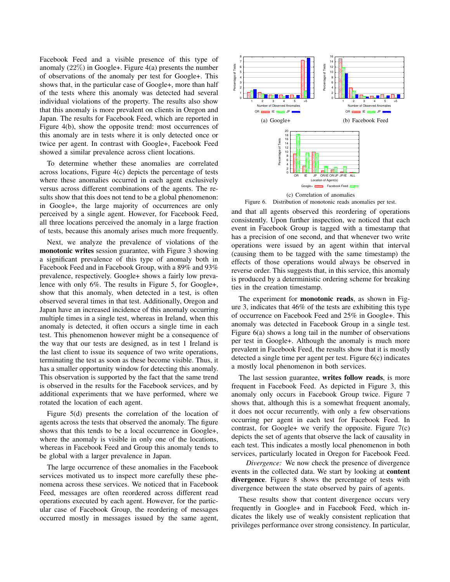Facebook Feed and a visible presence of this type of anomaly (22%) in Google+. Figure 4(a) presents the number of observations of the anomaly per test for Google+. This shows that, in the particular case of Google+, more than half of the tests where this anomaly was detected had several individual violations of the property. The results also show that this anomaly is more prevalent on clients in Oregon and Japan. The results for Facebook Feed, which are reported in Figure 4(b), show the opposite trend: most occurrences of this anomaly are in tests where it is only detected once or twice per agent. In contrast with Google+, Facebook Feed showed a similar prevalence across client locations.

To determine whether these anomalies are correlated across locations, Figure 4(c) depicts the percentage of tests where these anomalies occurred in each agent exclusively versus across different combinations of the agents. The results show that this does not tend to be a global phenomenon: in Google+, the large majority of occurrences are only perceived by a single agent. However, for Facebook Feed, all three locations perceived the anomaly in a large fraction of tests, because this anomaly arises much more frequently.

Next, we analyze the prevalence of violations of the monotonic writes session guarantee, with Figure 3 showing a significant prevalence of this type of anomaly both in Facebook Feed and in Facebook Group, with a 89% and 93% prevalence, respectively. Google+ shows a fairly low prevalence with only 6%. The results in Figure 5, for Google+, show that this anomaly, when detected in a test, is often observed several times in that test. Additionally, Oregon and Japan have an increased incidence of this anomaly occurring multiple times in a single test, whereas in Ireland, when this anomaly is detected, it often occurs a single time in each test. This phenomenon however might be a consequence of the way that our tests are designed, as in test 1 Ireland is the last client to issue its sequence of two write operations, terminating the test as soon as these become visible. Thus, it has a smaller opportunity window for detecting this anomaly. This observation is supported by the fact that the same trend is observed in the results for the Facebook services, and by additional experiments that we have performed, where we rotated the location of each agent.

Figure 5(d) presents the correlation of the location of agents across the tests that observed the anomaly. The figure shows that this tends to be a local occurrence in Google+, where the anomaly is visible in only one of the locations, whereas in Facebook Feed and Group this anomaly tends to be global with a larger prevalence in Japan.

The large occurrence of these anomalies in the Facebook services motivated us to inspect more carefully these phenomena across these services. We noticed that in Facebook Feed, messages are often reordered across different read operations executed by each agent. However, for the particular case of Facebook Group, the reordering of messages occurred mostly in messages issued by the same agent,



Figure 6. Distribution of monotonic reads anomalies per test.

and that all agents observed this reordering of operations consistently. Upon further inspection, we noticed that each event in Facebook Group is tagged with a timestamp that has a precision of one second, and that whenever two write operations were issued by an agent within that interval (causing them to be tagged with the same timestamp) the effects of those operations would always be observed in reverse order. This suggests that, in this service, this anomaly is produced by a deterministic ordering scheme for breaking ties in the creation timestamp.

The experiment for **monotonic reads**, as shown in Figure 3, indicates that 46% of the tests are exhibiting this type of occurrence on Facebook Feed and 25% in Google+. This anomaly was detected in Facebook Group in a single test. Figure 6(a) shows a long tail in the number of observations per test in Google+. Although the anomaly is much more prevalent in Facebook Feed, the results show that it is mostly detected a single time per agent per test. Figure 6(c) indicates a mostly local phenomenon in both services.

The last session guarantee, writes follow reads, is more frequent in Facebook Feed. As depicted in Figure 3, this anomaly only occurs in Facebook Group twice. Figure 7 shows that, although this is a somewhat frequent anomaly, it does not occur recurrently, with only a few observations occurring per agent in each test for Facebook Feed. In contrast, for Google+ we verify the opposite. Figure  $7(c)$ depicts the set of agents that observe the lack of causality in each test. This indicates a mostly local phenomenon in both services, particularly located in Oregon for Facebook Feed.

*Divergence:* We now check the presence of divergence events in the collected data. We start by looking at content divergence. Figure 8 shows the percentage of tests with divergence between the state observed by pairs of agents.

These results show that content divergence occurs very frequently in Google+ and in Facebook Feed, which indicates the likely use of weakly consistent replication that privileges performance over strong consistency. In particular,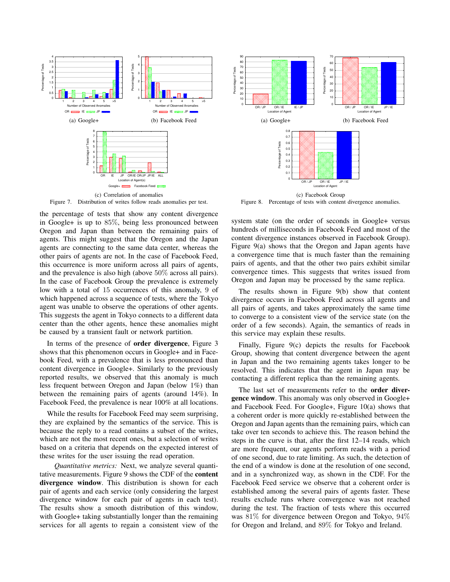

Figure 7. Distribution of writes follow reads anomalies per test.

the percentage of tests that show any content divergence in Google+ is up to 85%, being less pronounced between Oregon and Japan than between the remaining pairs of agents. This might suggest that the Oregon and the Japan agents are connecting to the same data center, whereas the other pairs of agents are not. In the case of Facebook Feed, this occurrence is more uniform across all pairs of agents, and the prevalence is also high (above 50% across all pairs). In the case of Facebook Group the prevalence is extremely low with a total of 15 occurrences of this anomaly, 9 of which happened across a sequence of tests, where the Tokyo agent was unable to observe the operations of other agents. This suggests the agent in Tokyo connects to a different data center than the other agents, hence these anomalies might be caused by a transient fault or network partition.

In terms of the presence of order divergence, Figure 3 shows that this phenomenon occurs in Google+ and in Facebook Feed, with a prevalence that is less pronounced than content divergence in Google+. Similarly to the previously reported results, we observed that this anomaly is much less frequent between Oregon and Japan (below 1%) than between the remaining pairs of agents (around 14%). In Facebook Feed, the prevalence is near 100% at all locations.

While the results for Facebook Feed may seem surprising, they are explained by the semantics of the service. This is because the reply to a read contains a subset of the writes, which are not the most recent ones, but a selection of writes based on a criteria that depends on the expected interest of these writes for the user issuing the read operation.

*Quantitative metrics:* Next, we analyze several quantitative measurements. Figure 9 shows the CDF of the content divergence window. This distribution is shown for each pair of agents and each service (only considering the largest divergence window for each pair of agents in each test). The results show a smooth distribution of this window, with Google+ taking substantially longer than the remaining services for all agents to regain a consistent view of the



Figure 8. Percentage of tests with content divergence anomalies.

system state (on the order of seconds in Google+ versus hundreds of milliseconds in Facebook Feed and most of the content divergence instances observed in Facebook Group). Figure 9(a) shows that the Oregon and Japan agents have a convergence time that is much faster than the remaining pairs of agents, and that the other two pairs exhibit similar convergence times. This suggests that writes issued from Oregon and Japan may be processed by the same replica.

The results shown in Figure 9(b) show that content divergence occurs in Facebook Feed across all agents and all pairs of agents, and takes approximately the same time to converge to a consistent view of the service state (on the order of a few seconds). Again, the semantics of reads in this service may explain these results.

Finally, Figure 9(c) depicts the results for Facebook Group, showing that content divergence between the agent in Japan and the two remaining agents takes longer to be resolved. This indicates that the agent in Japan may be contacting a different replica than the remaining agents.

The last set of measurements refer to the order divergence window. This anomaly was only observed in Google+ and Facebook Feed. For Google+, Figure 10(a) shows that a coherent order is more quickly re-established between the Oregon and Japan agents than the remaining pairs, which can take over ten seconds to achieve this. The reason behind the steps in the curve is that, after the first 12–14 reads, which are more frequent, our agents perform reads with a period of one second, due to rate limiting. As such, the detection of the end of a window is done at the resolution of one second, and in a synchronized way, as shown in the CDF. For the Facebook Feed service we observe that a coherent order is established among the several pairs of agents faster. These results exclude runs where convergence was not reached during the test. The fraction of tests where this occurred was 81% for divergence between Oregon and Tokyo, 94% for Oregon and Ireland, and 89% for Tokyo and Ireland.